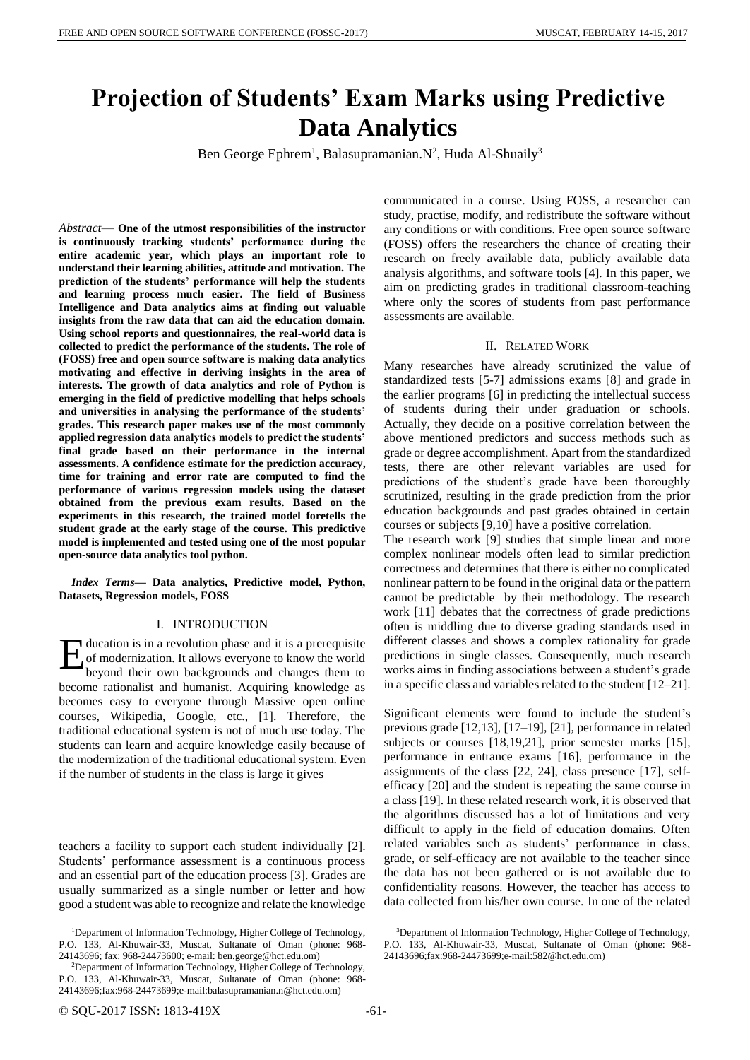# **Projection of Students' Exam Marks using Predictive Data Analytics**

Ben George Ephrem<sup>1</sup>, Balasupramanian. N<sup>2</sup>, Huda Al-Shuaily<sup>3</sup>

*Abstract*— **One of the utmost responsibilities of the instructor is continuously tracking students' performance during the entire academic year, which plays an important role to understand their learning abilities, attitude and motivation. The prediction of the students' performance will help the students and learning process much easier. The field of Business Intelligence and Data analytics aims at finding out valuable insights from the raw data that can aid the education domain. Using school reports and questionnaires, the real-world data is collected to predict the performance of the students. The role of (FOSS) free and open source software is making data analytics motivating and effective in deriving insights in the area of interests. The growth of data analytics and role of Python is emerging in the field of predictive modelling that helps schools and universities in analysing the performance of the students' grades. This research paper makes use of the most commonly applied regression data analytics models to predict the students' final grade based on their performance in the internal assessments. A confidence estimate for the prediction accuracy, time for training and error rate are computed to find the performance of various regression models using the dataset obtained from the previous exam results. Based on the experiments in this research, the trained model foretells the student grade at the early stage of the course. This predictive model is implemented and tested using one of the most popular open-source data analytics tool python.**

*Index Terms***— Data analytics, Predictive model, Python, Datasets, Regression models, FOSS**

#### I. INTRODUCTION

ducation is in a revolution phase and it is a prerequisite of modernization. It allows everyone to know the world beyond their own backgrounds and changes them to become rationalist and humanist. Acquiring knowledge as becomes easy to everyone through Massive open online courses, Wikipedia, Google, etc., [1]. Therefore, the traditional educational system is not of much use today. The students can learn and acquire knowledge easily because of the modernization of the traditional educational system. Even if the number of students in the class is large it gives E

teachers a facility to support each student individually [2]. Students' performance assessment is a continuous process and an essential part of the education process [3]. Grades are usually summarized as a single number or letter and how good a student was able to recognize and relate the knowledge communicated in a course. Using FOSS, a researcher can study, practise, modify, and redistribute the software without any conditions or with conditions. Free open source software (FOSS) offers the researchers the chance of creating their research on freely available data, publicly available data analysis algorithms, and software tools [4]. In this paper, we aim on predicting grades in traditional classroom-teaching where only the scores of students from past performance assessments are available.

#### II. RELATED WORK

Many researches have already scrutinized the value of standardized tests [5-7] admissions exams [8] and grade in the earlier programs [6] in predicting the intellectual success of students during their under graduation or schools. Actually, they decide on a positive correlation between the above mentioned predictors and success methods such as grade or degree accomplishment. Apart from the standardized tests, there are other relevant variables are used for predictions of the student's grade have been thoroughly scrutinized, resulting in the grade prediction from the prior education backgrounds and past grades obtained in certain courses or subjects [9,10] have a positive correlation.

The research work [9] studies that simple linear and more complex nonlinear models often lead to similar prediction correctness and determines that there is either no complicated nonlinear pattern to be found in the original data or the pattern cannot be predictable by their methodology. The research work [11] debates that the correctness of grade predictions often is middling due to diverse grading standards used in different classes and shows a complex rationality for grade predictions in single classes. Consequently, much research works aims in finding associations between a student's grade in a specific class and variables related to the student [12–21].

Significant elements were found to include the student's previous grade [12,13], [17–19], [21], performance in related subjects or courses [18,19,21], prior semester marks [15], performance in entrance exams [16], performance in the assignments of the class [22, 24], class presence [17], selfefficacy [20] and the student is repeating the same course in a class [19]. In these related research work, it is observed that the algorithms discussed has a lot of limitations and very difficult to apply in the field of education domains. Often related variables such as students' performance in class, grade, or self-efficacy are not available to the teacher since the data has not been gathered or is not available due to confidentiality reasons. However, the teacher has access to data collected from his/her own course. In one of the related

<sup>&</sup>lt;sup>1</sup>Department of Information Technology, Higher College of Technology, P.O. 133, Al-Khuwair-33, Muscat, Sultanate of Oman (phone: 968- 24143696; fax: 968-24473600; e-mail: ben.george@hct.edu.om)

<sup>&</sup>lt;sup>2</sup>Department of Information Technology, Higher College of Technology, P.O. 133, Al-Khuwair-33, Muscat, Sultanate of Oman (phone: 968- 24143696;fax:968-24473699;e-mail:balasupramanian.n@hct.edu.om)

<sup>3</sup>Department of Information Technology, Higher College of Technology, P.O. 133, Al-Khuwair-33, Muscat, Sultanate of Oman (phone: 968- 24143696;fax:968-24473699;e-mail:582@hct.edu.om)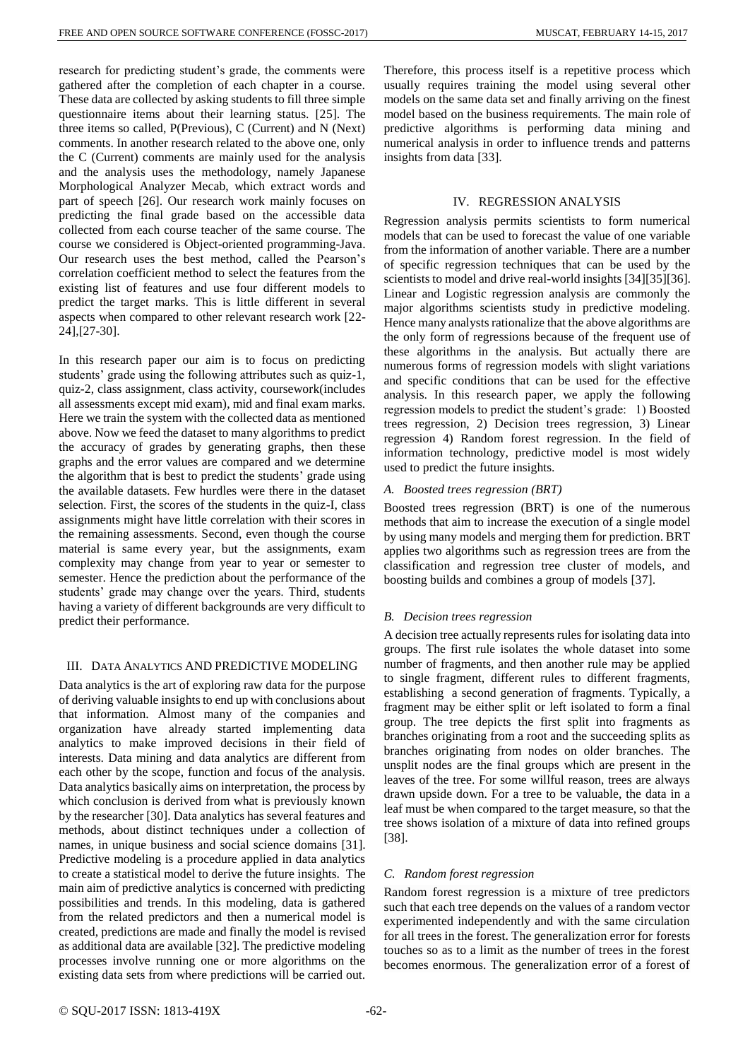research for predicting student's grade, the comments were gathered after the completion of each chapter in a course. These data are collected by asking students to fill three simple questionnaire items about their learning status. [25]. The three items so called, P(Previous), C (Current) and N (Next) comments. In another research related to the above one, only the C (Current) comments are mainly used for the analysis and the analysis uses the methodology, namely Japanese Morphological Analyzer Mecab, which extract words and part of speech [26]. Our research work mainly focuses on predicting the final grade based on the accessible data collected from each course teacher of the same course. The course we considered is Object-oriented programming-Java. Our research uses the best method, called the Pearson's correlation coefficient method to select the features from the existing list of features and use four different models to predict the target marks. This is little different in several aspects when compared to other relevant research work [22- 24],[27-30].

In this research paper our aim is to focus on predicting students' grade using the following attributes such as quiz-1, quiz-2, class assignment, class activity, coursework(includes all assessments except mid exam), mid and final exam marks. Here we train the system with the collected data as mentioned above. Now we feed the dataset to many algorithms to predict the accuracy of grades by generating graphs, then these graphs and the error values are compared and we determine the algorithm that is best to predict the students' grade using the available datasets. Few hurdles were there in the dataset selection. First, the scores of the students in the quiz-I, class assignments might have little correlation with their scores in the remaining assessments. Second, even though the course material is same every year, but the assignments, exam complexity may change from year to year or semester to semester. Hence the prediction about the performance of the students' grade may change over the years. Third, students having a variety of different backgrounds are very difficult to predict their performance.

# III. DATA ANALYTICS AND PREDICTIVE MODELING

Data analytics is the art of exploring raw data for the purpose of deriving valuable insights to end up with conclusions about that information. Almost many of the companies and organization have already started implementing data analytics to make improved decisions in their field of interests. Data mining and data analytics are different from each other by the scope, function and focus of the analysis. Data analytics basically aims on interpretation, the process by which conclusion is derived from what is previously known by the researcher [30]. Data analytics has several features and methods, about distinct techniques under a collection of names, in unique business and social science domains [31]. Predictive modeling is a procedure applied in data analytics to create a statistical model to derive the future insights. The main aim of predictive analytics is concerned with predicting possibilities and trends. In this modeling, data is gathered from the related predictors and then a numerical model is created, predictions are made and finally the model is revised as additional data are available [32]. The predictive modeling processes involve running one or more algorithms on the existing data sets from where predictions will be carried out.

Therefore, this process itself is a repetitive process which usually requires training the model using several other models on the same data set and finally arriving on the finest model based on the business requirements. The main role of predictive algorithms is performing data mining and numerical analysis in order to influence trends and patterns insights from data [33].

## IV. REGRESSION ANALYSIS

Regression analysis permits scientists to form numerical models that can be used to forecast the value of one variable from the information of another variable. There are a number of specific regression techniques that can be used by the scientists to model and drive real-world insights [34][35][36]. Linear and Logistic regression analysis are commonly the major algorithms scientists study in predictive modeling. Hence many analysts rationalize that the above algorithms are the only form of regressions because of the frequent use of these algorithms in the analysis. But actually there are numerous forms of regression models with slight variations and specific conditions that can be used for the effective analysis. In this research paper, we apply the following regression models to predict the student's grade: 1) Boosted trees regression, 2) Decision trees regression, 3) Linear regression 4) Random forest regression. In the field of information technology, predictive model is most widely used to predict the future insights.

# *A. Boosted trees regression (BRT)*

Boosted trees regression (BRT) is one of the numerous methods that aim to increase the execution of a single model by using many models and merging them for prediction. BRT applies two algorithms such as regression trees are from the classification and regression tree cluster of models, and boosting builds and combines a group of models [37].

# *B. Decision trees regression*

A decision tree actually represents rules for isolating data into groups. The first rule isolates the whole dataset into some number of fragments, and then another rule may be applied to single fragment, different rules to different fragments, establishing a second generation of fragments. Typically, a fragment may be either split or left isolated to form a final group. The tree depicts the first split into fragments as branches originating from a root and the succeeding splits as branches originating from nodes on older branches. The unsplit nodes are the final groups which are present in the leaves of the tree. For some willful reason, trees are always drawn upside down. For a tree to be valuable, the data in a leaf must be when compared to the target measure, so that the tree shows isolation of a mixture of data into refined groups [38].

## *C. Random forest regression*

Random forest regression is a mixture of tree predictors such that each tree depends on the values of a random vector experimented independently and with the same circulation for all trees in the forest. The generalization error for forests touches so as to a limit as the number of trees in the forest becomes enormous. The generalization error of a forest of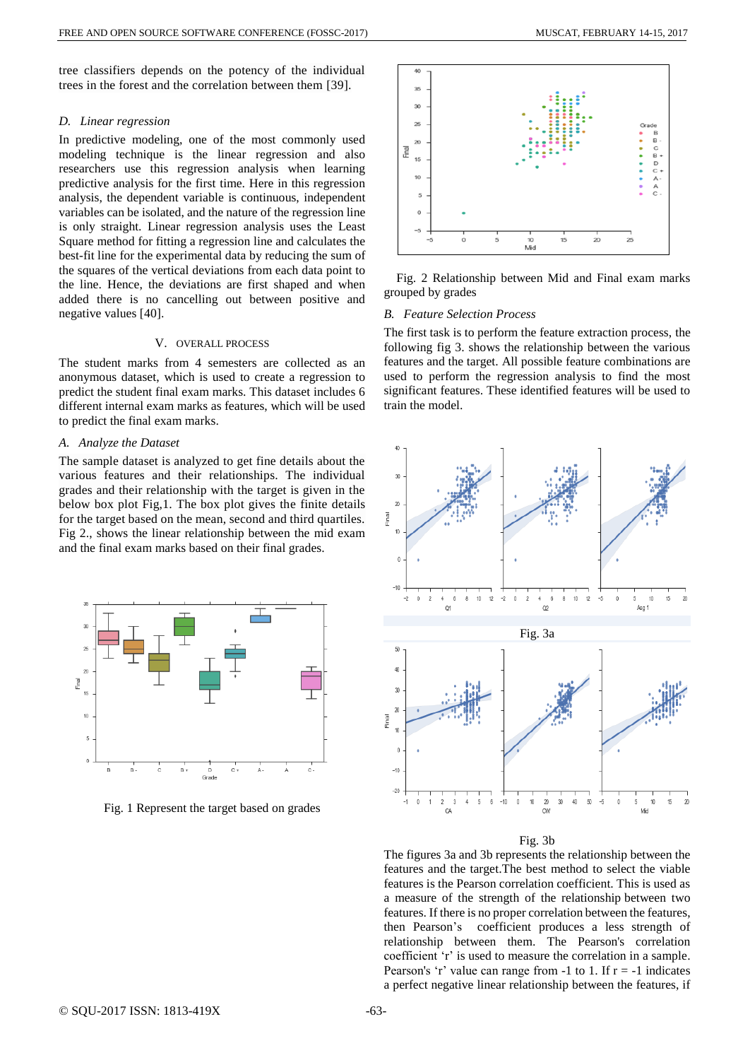tree classifiers depends on the potency of the individual trees in the forest and the correlation between them [39].

#### *D. Linear regression*

In predictive modeling, one of the most commonly used modeling technique is the linear regression and also researchers use this regression analysis when learning predictive analysis for the first time. Here in this regression analysis, the dependent variable is continuous, independent variables can be isolated, and the nature of the regression line is only straight. Linear regression analysis uses the Least Square method for fitting a regression line and calculates the best-fit line for the experimental data by reducing the sum of the squares of the vertical deviations from each data point to the line. Hence, the deviations are first shaped and when added there is no cancelling out between positive and negative values [40].

## V. OVERALL PROCESS

The student marks from 4 semesters are collected as an anonymous dataset, which is used to create a regression to predict the student final exam marks. This dataset includes 6 different internal exam marks as features, which will be used to predict the final exam marks.

#### *A. Analyze the Dataset*

The sample dataset is analyzed to get fine details about the various features and their relationships. The individual grades and their relationship with the target is given in the below box plot Fig,1. The box plot gives the finite details for the target based on the mean, second and third quartiles. Fig 2., shows the linear relationship between the mid exam and the final exam marks based on their final grades.



Fig. 1 Represent the target based on grades



Fig. 2 Relationship between Mid and Final exam marks grouped by grades

## *B. Feature Selection Process*

The first task is to perform the feature extraction process, the following fig 3. shows the relationship between the various features and the target. All possible feature combinations are used to perform the regression analysis to find the most significant features. These identified features will be used to train the model.



Fig. 3b

The figures 3a and 3b represents the relationship between the features and the target.The best method to select the viable features is the Pearson correlation coefficient. This is used as a measure of the strength of the relationship between two features. If there is no proper correlation between the features, then Pearson's coefficient produces a less strength of relationship between them. The Pearson's correlation coefficient 'r' is used to measure the correlation in a sample. Pearson's 'r' value can range from  $-1$  to 1. If  $r = -1$  indicates a perfect negative linear relationship between the features, if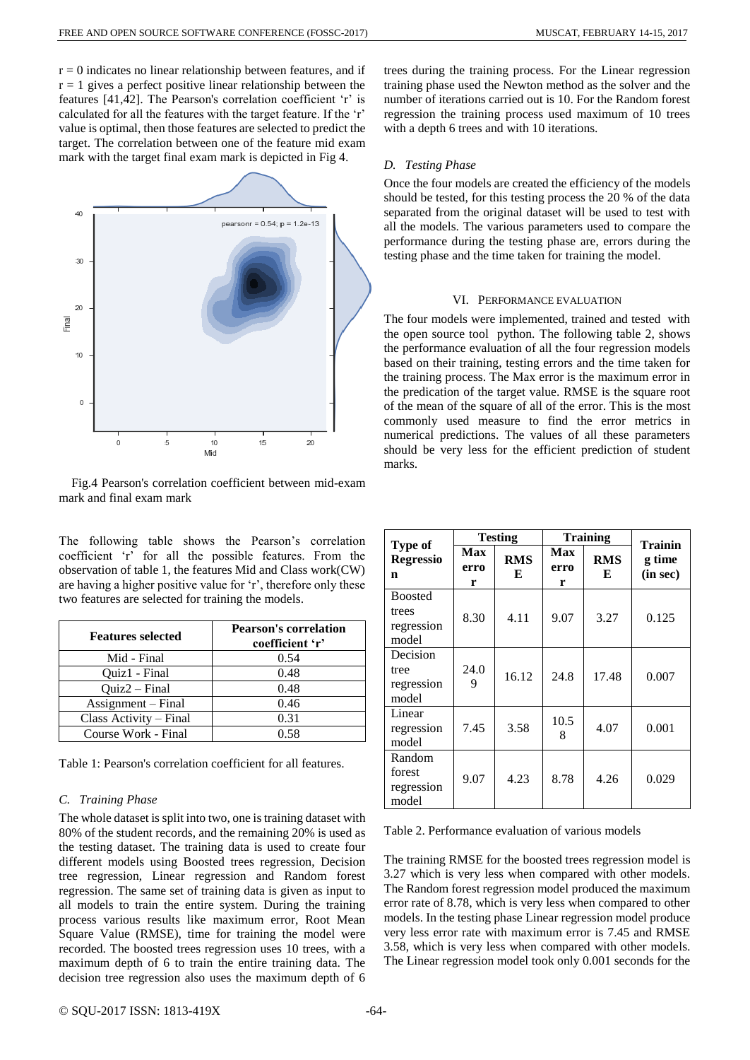$r = 0$  indicates no linear relationship between features, and if  $r = 1$  gives a perfect positive linear relationship between the features [41,42]. The Pearson's correlation coefficient 'r' is calculated for all the features with the target feature. If the 'r' value is optimal, then those features are selected to predict the target. The correlation between one of the feature mid exam mark with the target final exam mark is depicted in Fig 4.



Fig.4 Pearson's correlation coefficient between mid-exam mark and final exam mark

The following table shows the Pearson's correlation coefficient 'r' for all the possible features. From the observation of table 1, the features Mid and Class work(CW) are having a higher positive value for 'r', therefore only these two features are selected for training the models.

| <b>Features selected</b> | <b>Pearson's correlation</b><br>coefficient 'r' |  |  |
|--------------------------|-------------------------------------------------|--|--|
| Mid - Final              | 0.54                                            |  |  |
| Ouiz1 - Final            | 0.48                                            |  |  |
| $Ouiz2 - Final$          | 0.48                                            |  |  |
| Assignment – Final       | 0.46                                            |  |  |
| Class Activity – Final   | 0.31                                            |  |  |
| Course Work - Final      | 0.58                                            |  |  |

Table 1: Pearson's correlation coefficient for all features.

## *C. Training Phase*

The whole dataset is split into two, one is training dataset with 80% of the student records, and the remaining 20% is used as the testing dataset. The training data is used to create four different models using Boosted trees regression, Decision tree regression, Linear regression and Random forest regression. The same set of training data is given as input to all models to train the entire system. During the training process various results like maximum error, Root Mean Square Value (RMSE), time for training the model were recorded. The boosted trees regression uses 10 trees, with a maximum depth of 6 to train the entire training data. The decision tree regression also uses the maximum depth of 6 trees during the training process. For the Linear regression training phase used the Newton method as the solver and the number of iterations carried out is 10. For the Random forest regression the training process used maximum of 10 trees with a depth 6 trees and with 10 iterations.

## *D. Testing Phase*

Once the four models are created the efficiency of the models should be tested, for this testing process the 20 % of the data separated from the original dataset will be used to test with all the models. The various parameters used to compare the performance during the testing phase are, errors during the testing phase and the time taken for training the model.

#### VI. PERFORMANCE EVALUATION

The four models were implemented, trained and tested with the open source tool python. The following table 2, shows the performance evaluation of all the four regression models based on their training, testing errors and the time taken for the training process. The Max error is the maximum error in the predication of the target value. RMSE is the square root of the mean of the square of all of the error. This is the most commonly used measure to find the error metrics in numerical predictions. The values of all these parameters should be very less for the efficient prediction of student marks.

|                                                | <b>Testing</b>          |                 | <b>Training</b>  |                 | <b>Trainin</b>     |
|------------------------------------------------|-------------------------|-----------------|------------------|-----------------|--------------------|
| <b>Type of</b><br><b>Regressio</b><br>n        | <b>Max</b><br>erro<br>r | <b>RMS</b><br>E | Max<br>erro<br>r | <b>RMS</b><br>E | g time<br>(in sec) |
| <b>Boosted</b><br>trees<br>regression<br>model | 8.30                    | 4.11            | 9.07             | 3.27            | 0.125              |
| Decision<br>tree<br>regression<br>model        | 24.0<br>9               | 16.12           | 24.8             | 17.48           | 0.007              |
| Linear<br>regression<br>model                  | 7.45                    | 3.58            | 10.5<br>8        | 4.07            | 0.001              |
| Random<br>forest<br>regression<br>model        | 9.07                    | 4.23            | 8.78             | 4.26            | 0.029              |

Table 2. Performance evaluation of various models

The training RMSE for the boosted trees regression model is 3.27 which is very less when compared with other models. The Random forest regression model produced the maximum error rate of 8.78, which is very less when compared to other models. In the testing phase Linear regression model produce very less error rate with maximum error is 7.45 and RMSE 3.58, which is very less when compared with other models. The Linear regression model took only 0.001 seconds for the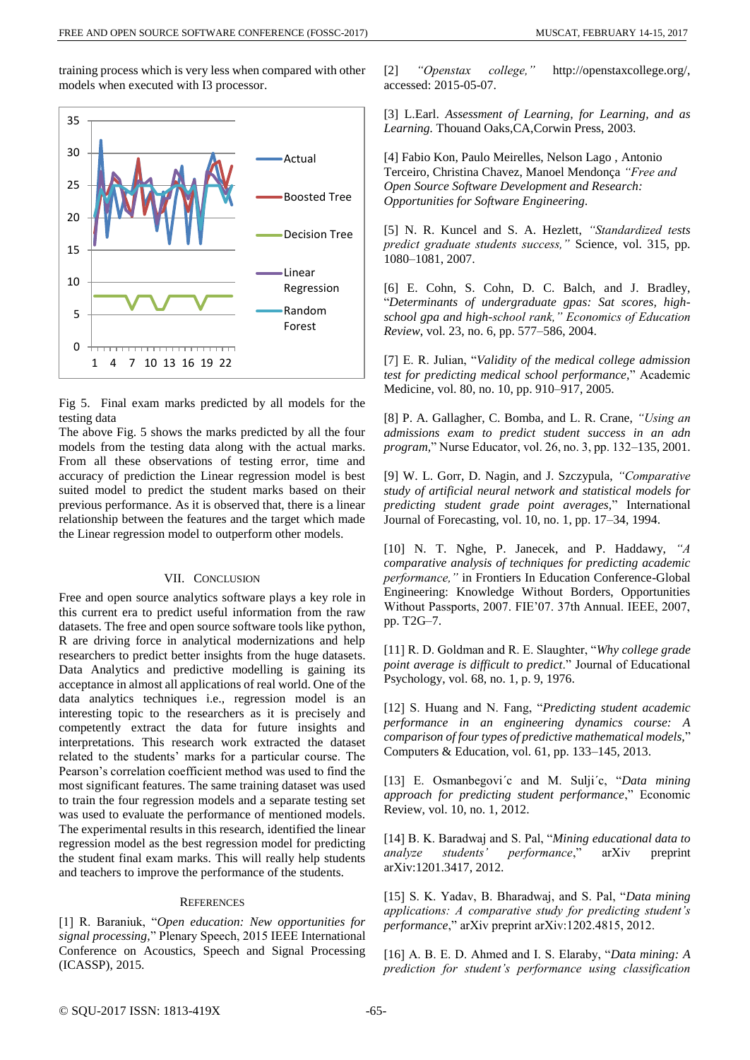training process which is very less when compared with other models when executed with I3 processor.





The above Fig. 5 shows the marks predicted by all the four models from the testing data along with the actual marks. From all these observations of testing error, time and accuracy of prediction the Linear regression model is best suited model to predict the student marks based on their previous performance. As it is observed that, there is a linear relationship between the features and the target which made the Linear regression model to outperform other models.

## VII. CONCLUSION

Free and open source analytics software plays a key role in this current era to predict useful information from the raw datasets. The free and open source software tools like python, R are driving force in analytical modernizations and help researchers to predict better insights from the huge datasets. Data Analytics and predictive modelling is gaining its acceptance in almost all applications of real world. One of the data analytics techniques i.e., regression model is an interesting topic to the researchers as it is precisely and competently extract the data for future insights and interpretations. This research work extracted the dataset related to the students' marks for a particular course. The Pearson's correlation coefficient method was used to find the most significant features. The same training dataset was used to train the four regression models and a separate testing set was used to evaluate the performance of mentioned models. The experimental results in this research, identified the linear regression model as the best regression model for predicting the student final exam marks. This will really help students and teachers to improve the performance of the students.

## **REFERENCES**

[1] R. Baraniuk, "*Open education: New opportunities for signal processing,*" Plenary Speech, 2015 IEEE International Conference on Acoustics, Speech and Signal Processing (ICASSP), 2015.

[2] *"Openstax college,"* http://openstaxcollege.org/, accessed: 2015-05-07.

[3] L.Earl. *Assessment of Learning, for Learning, and as Learning.* Thouand Oaks,CA,Corwin Press, 2003.

[4] Fabio Kon, Paulo Meirelles, Nelson Lago , Antonio Terceiro, Christina Chavez, Manoel Mendonça *"Free and Open Source Software Development and Research: Opportunities for Software Engineering.*

[5] N. R. Kuncel and S. A. Hezlett, *"Standardized tests predict graduate students success,"* Science, vol. 315, pp. 1080–1081, 2007.

[6] E. Cohn, S. Cohn, D. C. Balch, and J. Bradley, "*Determinants of undergraduate gpas: Sat scores, highschool gpa and high-school rank," Economics of Education Review*, vol. 23, no. 6, pp. 577–586, 2004.

[7] E. R. Julian, "*Validity of the medical college admission test for predicting medical school performance,*" Academic Medicine, vol. 80, no. 10, pp. 910–917, 2005.

[8] P. A. Gallagher, C. Bomba, and L. R. Crane, *"Using an admissions exam to predict student success in an adn program,*" Nurse Educator, vol. 26, no. 3, pp. 132–135, 2001.

[9] W. L. Gorr, D. Nagin, and J. Szczypula, *"Comparative study of artificial neural network and statistical models for predicting student grade point averages,*" International Journal of Forecasting, vol. 10, no. 1, pp. 17–34, 1994.

[10] N. T. Nghe, P. Janecek, and P. Haddawy, *"A comparative analysis of techniques for predicting academic performance,"* in Frontiers In Education Conference-Global Engineering: Knowledge Without Borders, Opportunities Without Passports, 2007. FIE'07. 37th Annual. IEEE, 2007, pp. T2G–7.

[11] R. D. Goldman and R. E. Slaughter, "*Why college grade point average is difficult to predict*." Journal of Educational Psychology, vol. 68, no. 1, p. 9, 1976.

[12] S. Huang and N. Fang, "*Predicting student academic performance in an engineering dynamics course: A comparison of four types of predictive mathematical models,*" Computers & Education, vol. 61, pp. 133–145, 2013.

[13] E. Osmanbegovi´c and M. Sulji´c, "*Data mining approach for predicting student performance*," Economic Review, vol. 10, no. 1, 2012.

[14] B. K. Baradwaj and S. Pal, "*Mining educational data to analyze students' performance*," arXiv preprint arXiv:1201.3417, 2012.

[15] S. K. Yadav, B. Bharadwaj, and S. Pal, "*Data mining applications: A comparative study for predicting student's performance*," arXiv preprint arXiv:1202.4815, 2012.

[16] A. B. E. D. Ahmed and I. S. Elaraby, "*Data mining: A prediction for student's performance using classification*